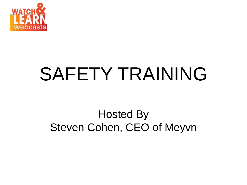

# SAFETY TRAINING

# Hosted By Steven Cohen, CEO of Meyvn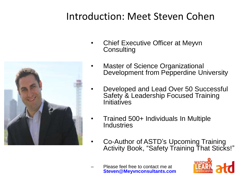# Introduction: Meet Steven Cohen



- Chief Executive Officer at Meyvn **Consulting**
- **Master of Science Organizational** Development from Pepperdine University
- Developed and Lead Over 50 Successful Safety & Leadership Focused Training **Initiatives**
- Trained 500+ Individuals In Multiple **Industries**
- Co-Author of ASTD's Upcoming Training Activity Book, "Safety Training That Sticks!"
- Please feel free to contact me at **Steven@Meyvnconsultants.com**

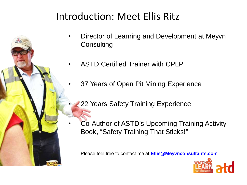# Introduction: Meet Ellis Ritz

- Director of Learning and Development at Meyvn **Consulting**
- ASTD Certified Trainer with CPLP
- 37 Years of Open Pit Mining Experience
	- 22 Years Safety Training Experience
- Co-Author of ASTD's Upcoming Training Activity Book, "Safety Training That Sticks!"
- Please feel free to contact me at **Ellis@Meyvnconsultants.com**

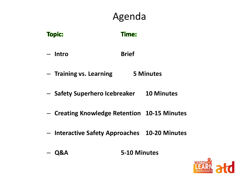# Agenda

| <b>Topic:</b> | Time: |
|---------------|-------|
|---------------|-------|

- **Intro Brief**
- **Training vs. Learning 5 Minutes**
- **Safety Superhero Icebreaker 10 Minutes**
- **Creating Knowledge Retention 10-15 Minutes**
- **Interactive Safety Approaches 10-20 Minutes**
- **Q&A 5-10 Minutes**

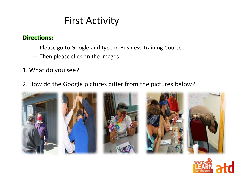# First Activity

#### **Directions:**

- Please go to Google and type in Business Training Course
- Then please click on the images
- 1. What do you see?
- 2. How do the Google pictures differ from the pictures below?



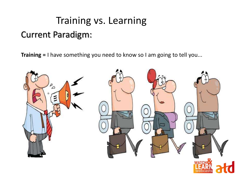# Training vs. Learning Current Paradigm:

**Training =** I have something you need to know so I am going to tell you...

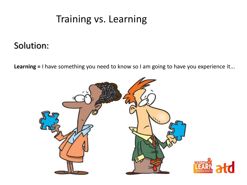### Training vs. Learning

### Solution:

**Learning =** I have something you need to know so I am going to have you experience it...

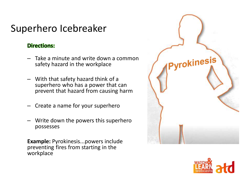# Superhero Icebreaker

#### **Directions:**

- Take a minute and write down a common safety hazard in the workplace
- With that safety hazard think of a superhero who has a power that can prevent that hazard from causing harm
- Create a name for your superhero
- Write down the powers this superhero possesses

**Example:** Pyrokinesis...powers include preventing fires from starting in the workplace



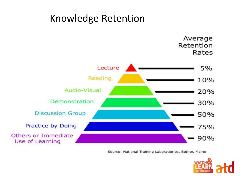

Source: National Training Laboratiories. Bether, Maine

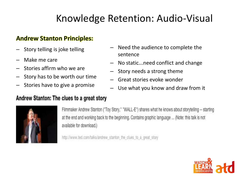# Knowledge Retention: Audio-Visual

#### **Andrew Stanton Principles:**

- Story telling is joke telling
- Make me care
- Stories affirm who we are
- Story has to be worth our time
- Stories have to give a promise

#### Andrew Stanton: The clues to a great story

- Need the audience to complete the sentence
- No static...need conflict and change
- Story needs a strong theme
- Great stories evoke wonder
- Use what you know and draw from it



Filmmaker Andrew Stanton ("Toy Story," "WALL-E") shares what he knows about storytelling -- starting at the end and working back to the beginning. Contains graphic language ... (Note: this talk is not available for download.)

http://www.ted.com/talks/andrew\_stanton\_the\_clues\_to\_a\_great\_story

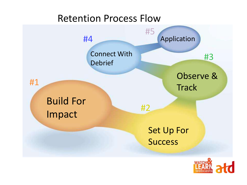### Retention Process Flow



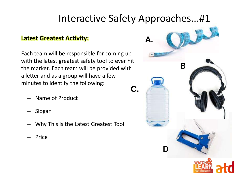# Interactive Safety Approaches...#1

#### **Latest Greatest Activity:**

Each team will be responsible for coming up with the latest greatest safety tool to ever hit the market. Each team will be provided with a letter and as a group will have a few minutes to identify the following: **C.**

- Name of Product
- Slogan
- Why This is the Latest Greatest Tool
- Price

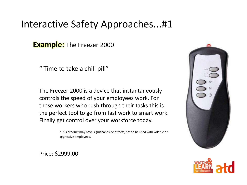### Interactive Safety Approaches...#1

**Example:** The Freezer 2000

" Time to take a chill pill"

The Freezer 2000 is a device that instantaneously controls the speed of your employees work. For those workers who rush through their tasks this is the perfect tool to go from fast work to smart work. Finally get control over your workforce today.

> \*This product may have significant side effects, not to be used with volatile or aggressive employees.



Price: \$2999.00

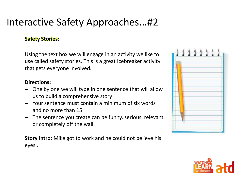# Interactive Safety Approaches...#2

#### **Safety Stories:**

Using the text box we will engage in an activity we like to use called safety stories. This is a great Icebreaker activity that gets everyone involved.

#### **Directions:**

- One by one we will type in one sentence that will allow us to build a comprehensive story
- Your sentence must contain a minimum of six words and no more than 15
- The sentence you create can be funny, serious, relevant or completely off the wall.

**Story Intro:** Mike got to work and he could not believe his eyes...



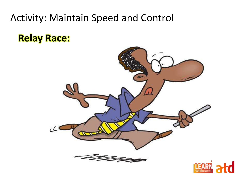### Activity: Maintain Speed and Control

**Relay Race:**



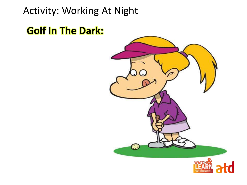# Activity: Working At Night

# **Golf In The Dark:**

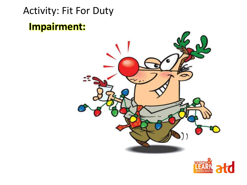# Activity: Fit For Duty **Impairment:**